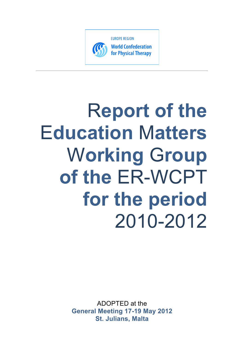

# R**eport of the** E**ducation** M**atters** W**orking** G**roup of the** ER-WCPT **for the period** 2010-2012

ADOPTED at the **General Meeting 17-19 May 2012 St. Julians, Malta**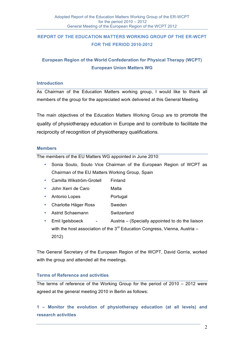# **REPORT OF THE EDUCATION MATTERS WORKING GROUP OF THE ER-WCPT FOR THE PERIOD 2010-2012**

# **European Region of the World Confederation for Physical Therapy (WCPT) European Union Matters WG**

#### **Introduction**

As Chairman of the Education Matters working group, I would like to thank all members of the group for the appreciated work delivered at this General Meeting.

The main objectives of the Education Matters Working Group are to promote the quality of physiotherapy education in Europe and to contribute to facilitate the reciprocity of recognition of physiotherapy qualifications.

#### **Members**

The members of the EU Matters WG appointed in June 2010:

- Sonia Souto, Souto Vice Chairman of the European Region of WCPT as Chairman of the EU Matters Working Group, Spain
- Camilla Wikström-Grotell Finland
- John Xerri de Caro Malta
- Antonio Lopes Portugal
- Charlotte Häger Ross Sweden
- Astrid Schaemann Switzerland
- Emil Igelsboeck Austria (Specially appointed to do the liaison with the host association of the  $3^{rd}$  Education Congress, Vienna, Austria – 2012)

The General Secretary of the European Region of the WCPT, David Gorría, worked with the group and attended all the meetings.

#### **Terms of Reference and activities**

The terms of reference of the Working Group for the period of 2010 – 2012 were agreed at the general meeting 2010 in Berlin as follows:

**1 – Monitor the evolution of physiotherapy education (at all levels) and research activities**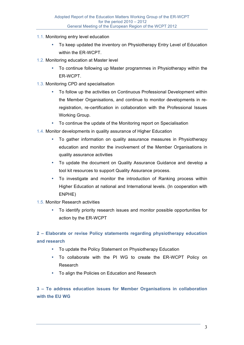- 1.1. Monitoring entry level education
	- To keep updated the inventory on Physiotherapy Entry Level of Education within the ER-WCPT.
- 1.2. Monitoring education at Master level
	- To continue following up Master programmes in Physiotherapy within the ER-WCPT.
- 1.3. Monitoring CPD and specialisation
	- To follow up the activities on Continuous Professional Development within the Member Organisations, and continue to monitor developments in reregistration, re-certification in collaboration with the Professional Issues Working Group.
	- To continue the update of the Monitoring report on Specialisation
- 1.4. Monitor developments in quality assurance of Higher Education
	- To gather information on quality assurance measures in Physiotherapy education and monitor the involvement of the Member Organisations in quality assurance activities
	- To update the document on Quality Assurance Guidance and develop a tool kit resources to support Quality Assurance process.
	- To investigate and monitor the introduction of Ranking process within Higher Education at national and International levels. (In cooperation with ENPHE)
- 1.5. Monitor Research activities
	- To identify priority research issues and monitor possible opportunities for action by the ER-WCPT

**2 – Elaborate or revise Policy statements regarding physiotherapy education and research**

- To update the Policy Statement on Physiotherapy Education
- To collaborate with the PI WG to create the ER-WCPT Policy on Research
- To align the Policies on Education and Research

**3 – To address education issues for Member Organisations in collaboration with the EU WG**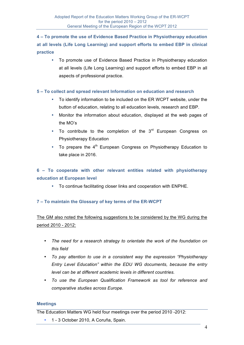**4 – To promote the use of Evidence Based Practice in Physiotherapy education at all levels (Life Long Learning) and support efforts to embed EBP in clinical practice**

• To promote use of Evidence Based Practice in Physiotherapy education at all levels (Life Long Learning) and support efforts to embed EBP in all aspects of professional practice.

## **5 – To collect and spread relevant Information on education and research**

- To identify information to be included on the ER WCPT website, under the button of education, relating to all education levels, research and EBP.
- Monitor the information about education, displayed at the web pages of the MO's
- To contribute to the completion of the  $3<sup>rd</sup>$  European Congress on Physiotherapy Education
- To prepare the  $4<sup>th</sup>$  European Congress on Physiotherapy Education to take place in 2016.

# **6 – To cooperate with other relevant entities related with physiotherapy education at European level**

• To continue facilitating closer links and cooperation with ENPHE.

## **7 – To maintain the Glossary of key terms of the ER-WCPT**

The GM also noted the following suggestions to be considered by the WG during the period 2010 - 2012:

- *The need for a research strategy to orientate the work of the foundation on this field*
- *To pay attention to use in a consistent way the expression "Physiotherapy Entry Level Education" within the EDU WG documents, because the entry level can be at different academic levels in different countries.*
- *To use the European Qualification Framework as tool for reference and comparative studies across Europe.*

#### **Meetings**

The Education Matters WG held four meetings over the period 2010 -2012:

• 1 - 3 October 2010, A Coruña, Spain.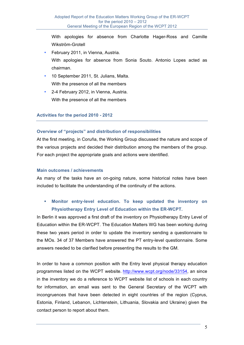With apologies for absence from Charlotte Hager-Ross and Camille Wikström-Grotell

- February 2011, in Vienna, Austria. With apologies for absence from Sonia Souto. Antonio Lopes acted as chairman.
- 10 September 2011, St. Julians, Malta. With the presence of all the members
- 2-4 February 2012, in Vienna, Austria. With the presence of all the members

## **Activities for the period 2010 - 2012**

## **Overview of "projects" and distribution of responsibilities**

At the first meeting, in Coruña, the Working Group discussed the nature and scope of the various projects and decided their distribution among the members of the group. For each project the appropriate goals and actions were identified.

#### **Main outcomes / achievements**

As many of the tasks have an on-going nature, some historical notes have been included to facilitate the understanding of the continuity of the actions.

# **Monitor entry-level education. To keep updated the inventory on Physiotherapy Entry Level of Education within the ER-WCPT.**

In Berlin it was approved a first draft of the inventory on Physiotherapy Entry Level of Education within the ER-WCPT. The Education Matters WG has been working during these two years period in order to update the inventory sending a questionnaire to the MOs. 34 of 37 Members have answered the PT entry-level questionnaire. Some answers needed to be clarified before presenting the results to the GM.

In order to have a common position with the Entry level physical therapy education programmes listed on the WCPT website. http://www.wcpt.org/node/33154, an since in the inventory we do a reference to WCPT website list of schools in each country for information, an email was sent to the General Secretary of the WCPT with incongruences that have been detected in eight countries of the region (Cyprus, Estonia, Finland, Lebanon, Lichtenstein, Lithuania, Slovakia and Ukraine) given the contact person to report about them.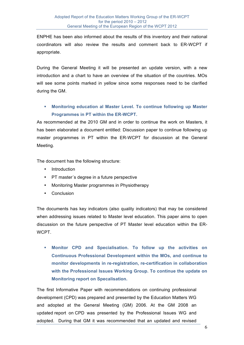ENPHE has been also informed about the results of this inventory and their national coordinators will also review the results and comment back to ER-WCPT if appropriate.

During the General Meeting it will be presented an update version, with a new introduction and a chart to have an overview of the situation of the countries. MOs will see some points marked in yellow since some responses need to be clarified during the GM.

# **Monitoring education al Master Level. To continue following up Master Programmes in PT within the ER-WCPT.**

As recommended at the 2010 GM and in order to continue the work on Masters, it has been elaborated a document entitled: Discussion paper to continue following up master programmes in PT within the ER-WCPT for discussion at the General Meeting.

The document has the following structure:

- **Introduction**
- PT master's degree in a future perspective
- Monitoring Master programmes in Physiotherapy
- **Conclusion**

The documents has key indicators (also quality indicators) that may be considered when addressing issues related to Master level education. This paper aims to open discussion on the future perspective of PT Master level education within the ER-**WCPT** 

 **Monitor CPD and Specialisation. To follow up the activities on Continuous Professional Development within the MOs, and continue to monitor developments in re-registration, re-certification in collaboration with the Professional Issues Working Group. To continue the update on Monitoring report on Specalisation.** 

The first Informative Paper with recommendations on continuing professional development (CPD) was prepared and presented by the Education Matters WG and adopted at the General Meeting (GM) 2006. At the GM 2008 an updated report on CPD was presented by the Professional Issues WG and adopted. During that GM it was recommended that an updated and revised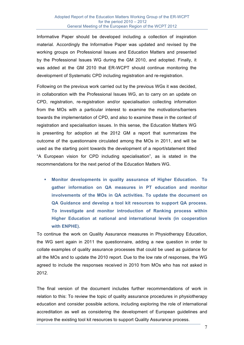Informative Paper should be developed including a collection of inspiration material. Accordingly the Informative Paper was updated and revised by the working groups on Professional Issues and Education Matters and presented by the Professional Issues WG during the GM 2010, and adopted. Finally, it was added at the GM 2010 that ER-WCPT should continue monitoring the development of Systematic CPD including registration and re-registration.

Following on the previous work carried out by the previous WGs it was decided, in collaboration with the Professional Issues WG, an to carry on an update on CPD, registration, re-registration and/or specialisation collecting information from the MOs with a particular interest to examine the motivations/barriers towards the implementation of CPD, and also to examine these in the context of registration and specialisation issues. In this sense, the Education Matters WG is presenting for adoption at the 2012 GM a report that summarizes the outcome of the questionnaire circulated among the MOs in 2011, and will be used as the starting point towards the development of a report/statement titled "A European vision for CPD including specialisation", as is stated in the recommendations for the next period of the Education Matters WG.

 **Monitor developments in quality assurance of Higher Education. To gather information on QA measures in PT education and monitor involvements of the MOs in QA activities. To update the document on QA Guidance and develop a tool kit resources to support QA process. To investigate and monitor introduction of Ranking process within Higher Education at national and international levels (in cooperation with ENPHE).**

To continue the work on Quality Assurance measures in Physiotherapy Education, the WG sent again in 2011 the questionnaire, adding a new question in order to collate examples of quality assurance processes that could be used as guidance for all the MOs and to update the 2010 report. Due to the low rate of responses, the WG agreed to include the responses received in 2010 from MOs who has not asked in 2012.

The final version of the document includes further recommendations of work in relation to this: To review the topic of quality assurance procedures in physiotherapy education and consider possible actions, including exploring the role of international accreditation as well as considering the development of European guidelines and improve the existing tool kit resources to support Quality Assurance process.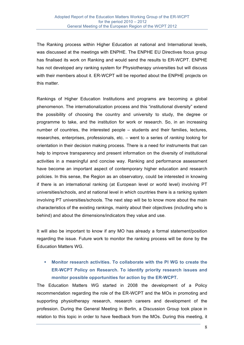The Ranking process within Higher Education at national and International levels, was discussed at the meetings with ENPHE. The ENPHE EU Directives focus group has finalised its work on Ranking and would send the results to ER-WCPT. ENPHE has not developed any ranking system for Physiotherapy universities but will discuss with their members about it. ER-WCPT will be reported about the ENPHE projects on this matter.

Rankings of Higher Education Institutions and programs are becoming a global phenomenon. The internationalization process and this "institutional diversity" extend the possibility of choosing the country and university to study, the degree or programme to take, and the institution for work or research. So, in an increasing number of countries, the interested people – students and their families, lectures, researches, enterprises, professionals, etc. – went to a series of *ranking* looking for orientation in their decision making process. There is a need for instruments that can help to improve transparency and present information on the diversity of institutional activities in a meaningful and concise way. Ranking and performance assessment have become an important aspect of contemporary higher education and research policies. In this sense, the Region as an observatory, could be interested in knowing if there is an international ranking (at European level or world level) involving PT universities/schools, and at national level in which countries there is a ranking system involving PT universities/schools. The next step will be to know more about the main characteristics of the existing rankings, mainly about their objectives (including who is behind) and about the dimensions/indicators they value and use.

It will also be important to know if any MO has already a formal statement/position regarding the issue. Future work to monitor the ranking process will be done by the Education Matters WG.

 **Monitor research activities. To collaborate with the PI WG to create the ER-WCPT Policy on Research. To identify priority research issues and monitor possible opportunities for action by the ER-WCPT.**

The Education Matters WG started in 2008 the development of a Policy recommendation regarding the role of the ER-WCPT and the MOs in promoting and supporting physiotherapy research, research careers and development of the profession. During the General Meeting in Berlin, a Discussion Group took place in relation to this topic in order to have feedback from the MOs. During this meeting, it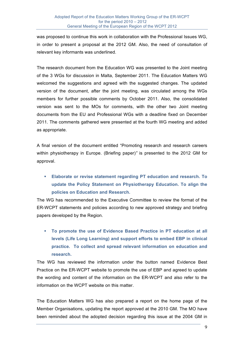was proposed to continue this work in collaboration with the Professional Issues WG, in order to present a proposal at the 2012 GM. Also, the need of consultation of relevant key informants was underlined.

The research document from the Education WG was presented to the Joint meeting of the 3 WGs for discussion in Malta, September 2011. The Education Matters WG welcomed the suggestions and agreed with the suggested changes. The updated version of the document, after the joint meeting, was circulated among the WGs members for further possible comments by October 2011. Also, the consolidated version was sent to the MOs for comments, with the other two Joint meeting documents from the EU and Professional WGs with a deadline fixed on December 2011. The comments gathered were presented at the fourth WG meeting and added as appropriate.

A final version of the document entitled "Promoting research and research careers within physiotherapy in Europe. (Briefing paper)*"* is presented to the 2012 GM for approval.

 **Elaborate or revise statement regarding PT education and research. To update the Policy Statement on Physiotherapy Education. To align the policies on Education and Research.**

The WG has recommended to the Executive Committee to review the format of the ER-WCPT statements and policies according to new approved strategy and briefing papers developed by the Region.

 **To promote the use of Evidence Based Practice in PT education at all levels (Life Long Learning) and support efforts to embed EBP in clinical practice. To collect and spread relevant information on education and research.**

The WG has reviewed the information under the button named Evidence Best Practice on the ER-WCPT website to promote the use of EBP and agreed to update the wording and content of the information on the ER-WCPT and also refer to the information on the WCPT website on this matter.

The Education Matters WG has also prepared a report on the home page of the Member Organisations, updating the report approved at the 2010 GM. The MO have been reminded about the adopted decision regarding this issue at the 2004 GM in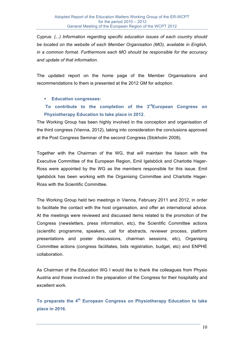Cyprus: *(...) Information regarding specific education issues of each country should be located on the website of each Member Organisation (MO), available in English, in a common format. Furthermore each MO should be responsible for the accuracy and update of that information.* 

The updated report on the home page of the Member Organisations and recommendations to them is presented at the 2012 GM for adoption.

## **Education congresses:**

# **To contribute to the completion of the 3rdEuropean Congress on Physiotherapy Education to take place in 2012.**

The Working Group has been highly involved in the conception and organisation of the third congress (Vienna, 2012), taking into consideration the conclusions approved at the Post Congress Seminar of the second Congress (Stokholm 2008).

Together with the Chairman of the WG, that will maintain the liaison with the Executive Committee of the European Region, Emil Igelsböck and Charlotte Hager-Ross were appointed by the WG as the members responsible for this issue. Emil Igelsböck has been working with the Organising Committee and Charlotte Hager-Ross with the Scientific Committee.

The Working Group held two meetings in Vienna, February 2011 and 2012, in order to facilitate the contact with the host organisation, and offer an international advice. At the meetings were reviewed and discussed items related to the promotion of the Congress (newsletters, press information, etc), the Scientific Committee actions (scientific programme, speakers, call for abstracts, reviewer process, platform presentations and poster discussions, chairman sessions, etc), Organising Committee actions (congress facilitates, bids registration, budget, etc) and ENPHE collaboration.

As Chairman of the Education WG I would like to thank the colleagues from Physio Austria and those involved in the preparation of the Congress for their hospitality and excellent work.

**To preparate the 4th European Congress on Physiotherapy Education to take place in 2016.**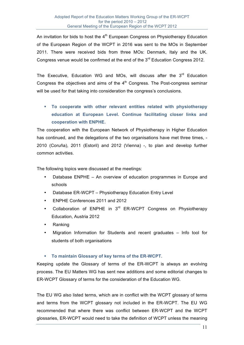An invitation for bids to host the  $4<sup>th</sup>$  European Congress on Physiotherapy Education of the European Region of the WCPT in 2016 was sent to the MOs in September 2011. There were received bids from three MOs: Denmark, Italy and the UK. Congress venue would be confirmed at the end of the 3<sup>rd</sup> Education Congress 2012.

The Executive, Education WG and MOs, will discuss after the  $3<sup>rd</sup>$  Education Congress the objectives and aims of the  $4<sup>th</sup>$  Congress. The Post-congress seminar will be used for that taking into consideration the congress's conclusions.

 **To cooperate with other relevant entities related with physiotherapy education at European Level. Continue facilitating closer links and cooperation with ENPHE.** 

The cooperation with the European Network of Physiotherapy in Higher Education has continued, and the delegations of the two organisations have met three times, - 2010 (Coruña), 2011 (Estoril) and 2012 (Vienna) -, to plan and develop further common activities.

The following topics were discussed at the meetings:

- Database ENPHE An overview of education programmes in Europe and schools
- Database ER-WCPT Physiotherapy Education Entry Level
- ENPHE Conferences 2011 and 2012
- Collaboration of ENPHE in 3rd ER-WCPT Congress on Physiotherapy Education, Austria 2012
- Ranking
- Migration Information for Students and recent graduates Info tool for students of both organisations

#### **To maintain Glossary of key terms of the ER-WCPT.**

Keeping update the Glossary of terms of the ER-WCPT is always an evolving process. The EU Matters WG has sent new additions and some editorial changes to ER-WCPT Glossary of terms for the consideration of the Education WG.

The EU WG also listed terms, which are in conflict with the WCPT glossary of terms and terms from the WCPT glossary not included in the ER-WCPT. The EU WG recommended that where there was conflict between ER-WCPT and the WCPT glossaries, ER-WCPT would need to take the definition of WCPT unless the meaning